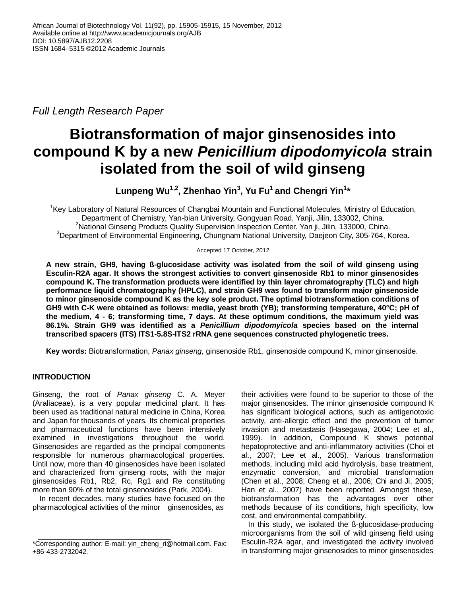*Full Length Research Paper*

# **Biotransformation of major ginsenosides into compound K by a new** *Penicillium dipodomyicola* **strain isolated from the soil of wild ginseng**

**Lunpeng Wu1,2, Zhenhao Yin<sup>3</sup> , Yu Fu<sup>1</sup> and Chengri Yin<sup>1</sup> \***

<sup>1</sup>Key Laboratory of Natural Resources of Changbai Mountain and Functional Molecules, Ministry of Education, Department of Chemistry, Yan-bian University, Gongyuan Road, Yanji, Jilin, 133002, China. <sup>2</sup>National Ginseng Products Quality Supervision Inspection Center. Yan ji, Jilin, 133000, China. <sup>3</sup>Department of Environmental Engineering, Chungnam National University, Daejeon City, 305-764, Korea.

## Accepted 17 October, 2012

**A new strain, GH9, having ß-glucosidase activity was isolated from the soil of wild ginseng using Esculin-R2A agar. It shows the strongest activities to convert ginsenoside Rb1 to minor ginsenosides compound K. The transformation products were identified by thin layer chromatography (TLC) and high performance liquid chromatography (HPLC), and strain GH9 was found to transform major ginsenoside to minor ginsenoside compound K as the key sole product. The optimal biotransformation conditions of GH9 with C-K were obtained as follows: media, yeast broth (YB); transforming temperature, 40°C; pH of the medium, 4 - 6; transforming time, 7 days. At these optimum conditions, the maximum yield was 86.1%. Strain GH9 was identified as a** *Penicillium dipodomyicola* **species based on the internal transcribed spacers (ITS) ITS1-5.8S-ITS2 rRNA gene sequences constructed phylogenetic trees.**

**Key words:** Biotransformation, *Panax ginseng*, ginsenoside Rb1, ginsenoside compound K, minor ginsenoside.

## **INTRODUCTION**

Ginseng, the root of *Panax ginseng* C. A. Meyer (Araliaceae), is a very popular medicinal plant. It has been used as traditional natural medicine in China, Korea and Japan for thousands of years. Its chemical properties and pharmaceutical functions have been intensively examined in investigations throughout the world. Ginsenosides are regarded as the principal components responsible for numerous pharmacological properties. Until now, more than 40 ginsenosides have been isolated and characterized from ginseng roots, with the major ginsenosides Rb1, Rb2, Rc, Rg1 and Re constituting more than 90% of the total ginsenosides (Park, 2004).

In recent decades, many studies have focused on the pharmacological activities of the minor ginsenosides, as

their activities were found to be superior to those of the major ginsenosides. The minor ginsenoside compound K has significant biological actions, such as antigenotoxic activity, anti-allergic effect and the prevention of tumor invasion and metastasis (Hasegawa, 2004; Lee et al., 1999). In addition, Compound K shows potential hepatoprotective and anti-inflammatory activities (Choi et al., 2007; Lee et al., 2005). Various transformation methods, including mild acid hydrolysis, base treatment, enzymatic conversion, and microbial transformation (Chen et al., 2008; Cheng et al., 2006; Chi and Ji, 2005; Han et al., 2007) have been reported. Amongst these, biotransformation has the advantages over other methods because of its conditions, high specificity, low cost, and environmental compatibility.

In this study, we isolated the ß-glucosidase-producing microorganisms from the soil of wild ginseng field using Esculin-R2A agar, and investigated the activity involved in transforming major ginsenosides to minor ginsenosides

<sup>\*</sup>Corresponding author: E-mail: yin\_cheng\_ri@hotmail.com. Fax: +86-433-2732042.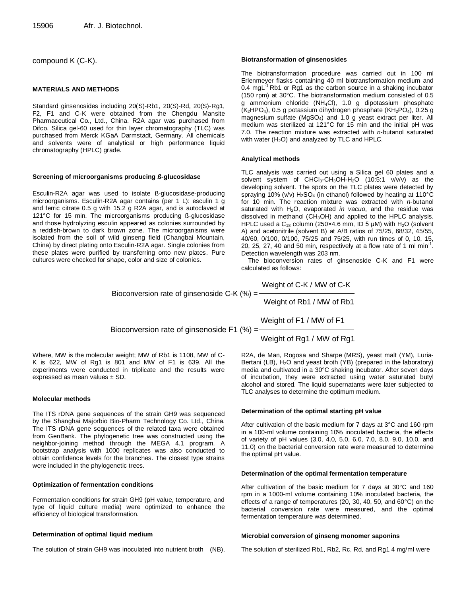compound K (C-K).

## **MATERIALS AND METHODS**

Standard ginsenosides including 20(S)-Rb1, 20(S)-Rd, 20(S)-Rg1, F2, F1 and C-K were obtained from the Chengdu Mansite Pharmaceutical Co., Ltd., China. R2A agar was purchased from Difco. Silica gel-60 used for thin layer chromatography (TLC) was purchased from Merck KGaA Darmstadt, Germany. All chemicals and solvents were of analytical or high performance liquid chromatography (HPLC) grade.

#### **Screening of microorganisms producing** *ß***-glucosidase**

Esculin-R2A agar was used to isolate ß-glucosidase-producing microorganisms. Esculin-R2A agar contains (per 1 L): esculin 1 g and ferric citrate 0.5 g with 15.2 g R2A agar, and is autoclaved at 121°C for 15 min. The microorganisms producing ß-glucosidase and those hydrolyzing esculin appeared as colonies surrounded by a reddish-brown to dark brown zone. The microorganisms were isolated from the soil of wild ginseng field (Changbai Mountain, China) by direct plating onto Esculin-R2A agar. Single colonies from these plates were purified by transferring onto new plates. Pure cultures were checked for shape, color and size of colonies.

#### **Biotransformation of ginsenosides**

The biotransformation procedure was carried out in 100 ml Erlenmeyer flasks containing 40 ml biotransformation medium and 0.4 mgL<sup>-1</sup> Rb1 or Rg1 as the carbon source in a shaking incubator (150 rpm) at 30°C. The biotransformation medium consisted of 0.5 g ammonium chloride (NH4Cl), 1.0 g dipotassium phosphate (K<sub>2</sub>HPO<sub>4</sub>), 0.5 g potassium dihydrogen phosphate (KH<sub>2</sub>PO<sub>4</sub>), 0.25 g magnesium sulfate (MgSO4) and 1.0 g yeast extract per liter. All medium was sterilized at 121°C for 15 min and the initial pH was 7.0. The reaction mixture was extracted with *n*-butanol saturated with water  $(H<sub>2</sub>O)$  and analyzed by TLC and HPLC.

#### **Analytical methods**

TLC analysis was carried out using a Silica gel 60 plates and a solvent system of CHCl<sub>3</sub>-CH<sub>3</sub>OH-H<sub>2</sub>O (10:5:1 v/v/v) as the developing solvent. The spots on the TLC plates were detected by spraying 10% (v/v)  $H<sub>2</sub>SO<sub>4</sub>$  (in ethanol) followed by heating at 110°C for 10 min. The reaction mixture was extracted with *n*-butanol saturated with H<sub>2</sub>O, evaporated *in vacuo*, and the residue was dissolved in methanol ( $CH<sub>3</sub>OH$ ) and applied to the HPLC analysis. HPLC used a  $C_{18}$  column (250x4.6 mm, ID 5  $\mu$ M) with H<sub>2</sub>O (solvent A) and acetonitrile (solvent B) at A/B ratios of 75/25, 68/32, 45/55, 40/60, 0/100, 0/100, 75/25 and 75/25, with run times of 0, 10, 15, 20, 25, 27, 40 and 50 min, respectively at a flow rate of 1 ml min<sup>-1</sup>. Detection wavelength was 203 nm.

The bioconversion rates of ginsenoside C-K and F1 were calculated as follows:

Weight of C-K / MW of C-K

Bioconversion rate of ginsenoside C-K (%) =

Weight of Rb1 / MW of Rb1

Weight of Rg1 / MW of Rg1

Weight of F1 / MW of F1

Bioconversion rate of ginsenoside F1 (%) =

Where, MW is the molecular weight; MW of Rb1 is 1108, MW of C-K is 622, MW of Rg1 is 801 and MW of F1 is 639. All the experiments were conducted in triplicate and the results were expressed as mean values ± SD.

#### **Molecular methods**

The ITS rDNA gene sequences of the strain GH9 was sequenced by the Shanghai Majorbio Bio-Pharm Technology Co. Ltd., China. The ITS rDNA gene sequences of the related taxa were obtained from GenBank. The phylogenetic tree was constructed using the neighbor-joining method through the MEGA 4.1 program. A bootstrap analysis with 1000 replicates was also conducted to obtain confidence levels for the branches. The closest type strains were included in the phylogenetic trees.

#### **Optimization of fermentation conditions**

Fermentation conditions for strain GH9 (pH value, temperature, and type of liquid culture media) were optimized to enhance the efficiency of biological transformation.

#### **Determination of optimal liquid medium**

The solution of strain GH9 was inoculated into nutrient broth (NB),

R2A, de Man, Rogosa and Sharpe (MRS), yeast malt (YM), Luria-Bertani (LB), H<sub>2</sub>O and yeast broth (YB) (prepared in the laboratory) media and cultivated in a 30°C shaking incubator. After seven days of incubation, they were extracted using water saturated butyl alcohol and stored. The liquid supernatants were later subjected to TLC analyses to determine the optimum medium.

#### **Determination of the optimal starting pH value**

After cultivation of the basic medium for 7 days at 3°C and 160 rpm in a 100-ml volume containing 10% inoculated bacteria, the effects of variety of pH values (3.0, 4.0, 5.0, 6.0, 7.0, 8.0, 9.0, 10.0, and 11.0) on the bacterial conversion rate were measured to determine the optimal pH value.

#### **Determination of the optimal fermentation temperature**

After cultivation of the basic medium for 7 days at 30°C and 160 rpm in a 1000-ml volume containing 10% inoculated bacteria, the effects of a range of temperatures (20, 30, 40, 50, and 60°C) on the bacterial conversion rate were measured, and the optimal fermentation temperature was determined.

#### **Microbial conversion of ginseng monomer saponins**

The solution of sterilized Rb1, Rb2, Rc, Rd, and Rg1 4 mg/ml were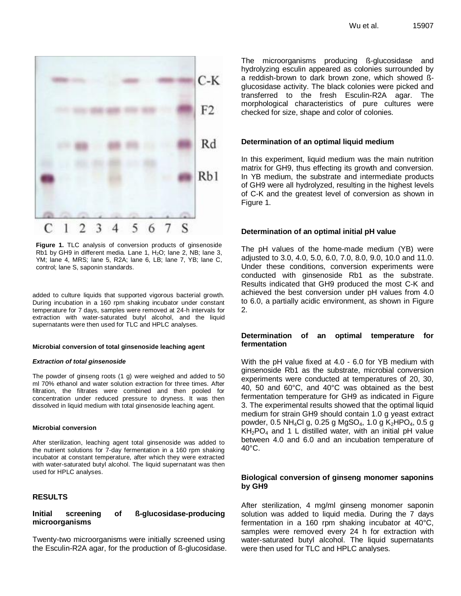

**Figure 1.** TLC analysis of conversion products of ginsenoside Rb1 by GH9 in different media. Lane 1,  $H<sub>2</sub>O$ ; lane 2, NB; lane 3, YM; lane 4, MRS; lane 5, R2A; lane 6, LB; lane 7, YB; lane C, control; lane S, saponin standards.

added to culture liquids that supported vigorous bacterial growth. During incubation in a 160 rpm shaking incubator under constant temperature for 7 days, samples were removed at 24-h intervals for extraction with water-saturated butyl alcohol, and the liquid supernatants were then used for TLC and HPLC analyses.

#### **Microbial conversion of total ginsenoside leaching agent**

#### *Extraction of total ginsenoside*

The powder of ginseng roots (1 g) were weighed and added to 50 ml 70% ethanol and water solution extraction for three times. After filtration, the filtrates were combined and then pooled for concentration under reduced pressure to dryness. It was then dissolved in liquid medium with total ginsenoside leaching agent.

#### **Microbial conversion**

After sterilization, leaching agent total ginsenoside was added to the nutrient solutions for 7-day fermentation in a 160 rpm shaking incubator at constant temperature, after which they were extracted with water-saturated butyl alcohol. The liquid supernatant was then used for HPLC analyses.

## **RESULTS**

## **Initial screening of ß-glucosidase-producing microorganisms**

Twenty-two microorganisms were initially screened using the Esculin-R2A agar, for the production of ß-glucosidase. The microorganisms producing ß-glucosidase and hydrolyzing esculin appeared as colonies surrounded by a reddish-brown to dark brown zone, which showed ßglucosidase activity. The black colonies were picked and transferred to the fresh Esculin-R2A agar. The morphological characteristics of pure cultures were checked for size, shape and color of colonies.

#### **Determination of an optimal liquid medium**

In this experiment, liquid medium was the main nutrition matrix for GH9, thus effecting its growth and conversion. In YB medium, the substrate and intermediate products of GH9 were all hydrolyzed, resulting in the highest levels of C-K and the greatest level of conversion as shown in Figure 1.

#### **Determination of an optimal initial pH value**

The pH values of the home-made medium (YB) were adjusted to 3.0, 4.0, 5.0, 6.0, 7.0, 8.0, 9.0, 10.0 and 11.0. Under these conditions, conversion experiments were conducted with ginsenoside Rb1 as the substrate. Results indicated that GH9 produced the most C-K and achieved the best conversion under pH values from 4.0 to 6.0, a partially acidic environment, as shown in Figure 2.

## **Determination of an optimal temperature for fermentation**

With the pH value fixed at 4.0 - 6.0 for YB medium with ginsenoside Rb1 as the substrate, microbial conversion experiments were conducted at temperatures of 20, 30, 40, 50 and 60°C, and 40°C was obtained as the best fermentation temperature for GH9 as indicated in Figure 3. The experimental results showed that the optimal liquid medium for strain GH9 should contain 1.0 g yeast extract powder, 0.5 NH<sub>4</sub>Cl g, 0.25 g MgSO<sub>4</sub>, 1.0 g K<sub>2</sub>HPO<sub>4</sub>, 0.5 g  $KH<sub>2</sub>PO<sub>4</sub>$  and 1 L distilled water, with an initial pH value between 4.0 and 6.0 and an incubation temperature of  $40^{\circ}$ C.

## **Biological conversion of ginseng monomer saponins by GH9**

After sterilization, 4 mg/ml ginseng monomer saponin solution was added to liquid media. During the 7 days fermentation in a 160 rpm shaking incubator at 40°C, samples were removed every 24 h for extraction with water-saturated butyl alcohol. The liquid supernatants were then used for TLC and HPLC analyses.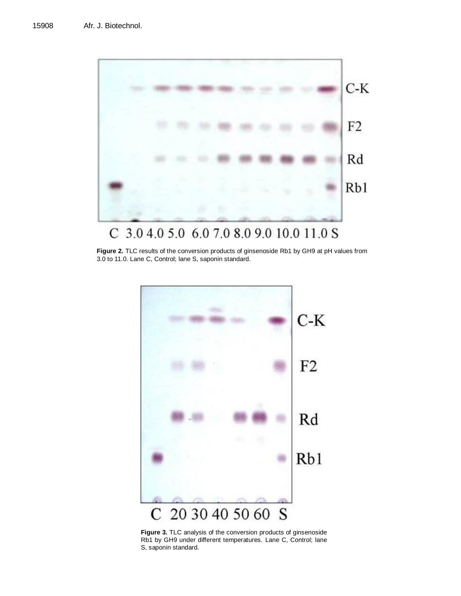

**Figure 2.** TLC results of the conversion products of ginsenoside Rb1 by GH9 at pH values from 3.0 to 11.0. Lane C, Control; lane S, saponin standard.



**Figure 3.** TLC analysis of the conversion products of ginsenoside Rb1 by GH9 under different temperatures. Lane C, Control; lane S, saponin standard.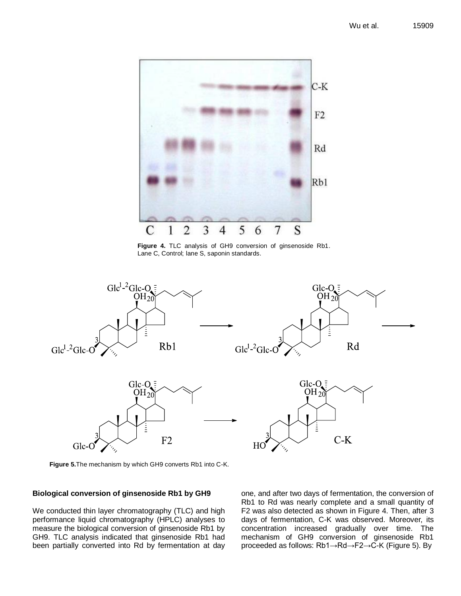

**Figure 4.** TLC analysis of GH9 conversion of ginsenoside Rb1. Lane C, Control; lane S, saponin standards.



**Figure 5.**The mechanism by which GH9 converts Rb1 into C-K.

## **Biological conversion of ginsenoside Rb1 by GH9**

We conducted thin layer chromatography (TLC) and high performance liquid chromatography (HPLC) analyses to measure the biological conversion of ginsenoside Rb1 by GH9. TLC analysis indicated that ginsenoside Rb1 had been partially converted into Rd by fermentation at day one, and after two days of fermentation, the conversion of Rb1 to Rd was nearly complete and a small quantity of F2 was also detected as shown in Figure 4. Then, after 3 days of fermentation, C-K was observed. Moreover, its concentration increased gradually over time. The mechanism of GH9 conversion of ginsenoside Rb1 proceeded as follows: Rb1→Rd→F2→C-K (Figure 5). By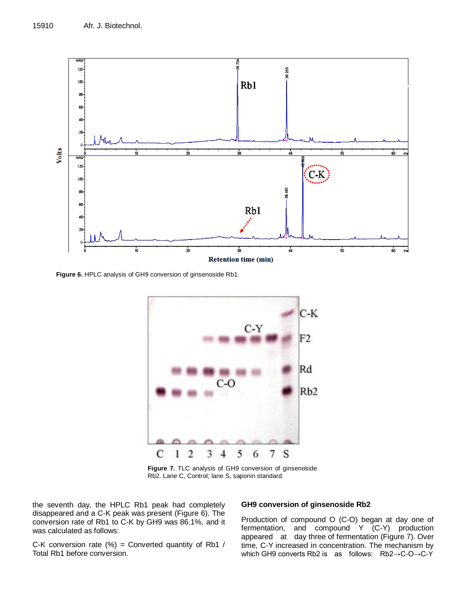

**Figure 6.** HPLC analysis of GH9 conversion of ginsenoside Rb1.



**Figure 7.** TLC analysis of GH9 conversion of ginsenoside Rb2. Lane C, Control; lane S, saponin standard.

the seventh day, the HPLC Rb1 peak had completely disappeared and a C-K peak was present (Figure 6). The conversion rate of Rb1 to C-K by GH9 was 86.1%, and it was calculated as follows:

## **GH9 conversion of ginsenoside Rb2**

Production of compound O (C-O) began at day one of fermentation, and compound Y (C-Y) production appeared at day three of fermentation (Figure 7). Over time, C-Y increased in concentration. The mechanism by which GH9 converts Rb2 is as follows: Rb2→C-O→C-Y

C-K conversion rate  $(\%)$  = Converted quantity of Rb1 / Total Rb1 before conversion.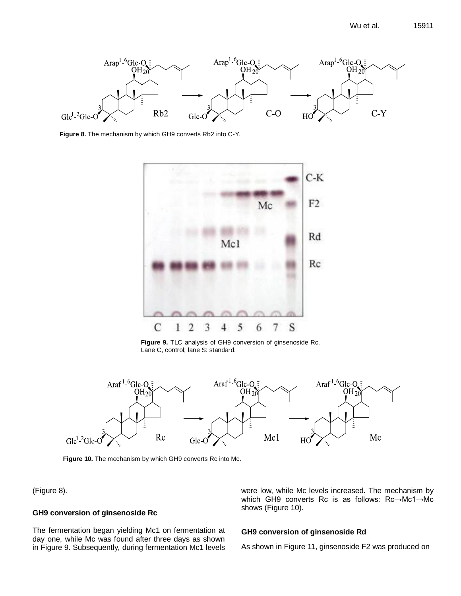

**Figure 8.** The mechanism by which GH9 converts Rb2 into C-Y.



**Figure 9.** TLC analysis of GH9 conversion of ginsenoside Rc. Lane C, control; lane S: standard.



**Figure 10.** The mechanism by which GH9 converts Rc into Mc.

(Figure 8).

## **GH9 conversion of ginsenoside Rc**

The fermentation began yielding Mc1 on fermentation at day one, while Mc was found after three days as shown in Figure 9. Subsequently, during fermentation Mc1 levels

were low, while Mc levels increased. The mechanism by which GH9 converts Rc is as follows: Rc→Mc1→Mc shows (Figure 10).

## **GH9 conversion of ginsenoside Rd**

As shown in Figure 11, ginsenoside F2 was produced on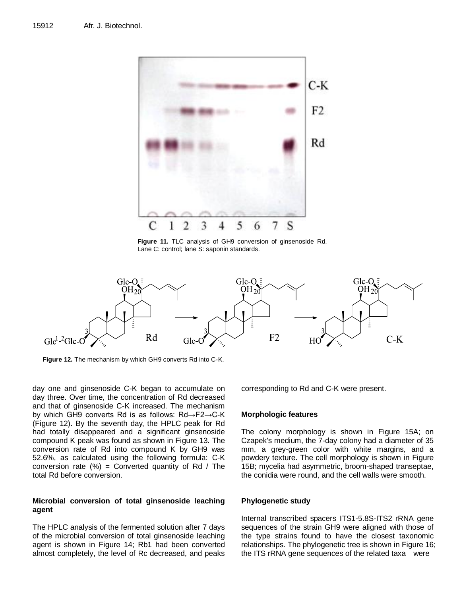

**Figure 11.** TLC analysis of GH9 conversion of ginsenoside Rd. Lane C: control; lane S: saponin standards.



**Figure 12.** The mechanism by which GH9 converts Rd into C-K.

day one and ginsenoside C-K began to accumulate on day three. Over time, the concentration of Rd decreased and that of ginsenoside C-K increased. The mechanism by which GH9 converts Rd is as follows: Rd→F2→C-K (Figure 12). By the seventh day, the HPLC peak for Rd had totally disappeared and a significant ginsenoside compound K peak was found as shown in Figure 13. The conversion rate of Rd into compound K by GH9 was 52.6%, as calculated using the following formula: C-K conversion rate  $(%) =$  Converted quantity of Rd / The total Rd before conversion.

## **Microbial conversion of total ginsenoside leaching agent**

The HPLC analysis of the fermented solution after 7 days of the microbial conversion of total ginsenoside leaching agent is shown in Figure 14; Rb1 had been converted almost completely, the level of Rc decreased, and peaks corresponding to Rd and C-K were present.

#### **Morphologic features**

The colony morphology is shown in Figure 15A; on Czapek's medium, the 7-day colony had a diameter of 35 mm, a grey-green color with white margins, and a powdery texture. The cell morphology is shown in Figure 15B; mycelia had asymmetric, broom-shaped transeptae, the conidia were round, and the cell walls were smooth.

## **Phylogenetic study**

Internal transcribed spacers ITS1-5.8S-ITS2 rRNA gene sequences of the strain GH9 were aligned with those of the type strains found to have the closest taxonomic relationships. The phylogenetic tree is shown in Figure 16; the ITS rRNA gene sequences of the related taxa were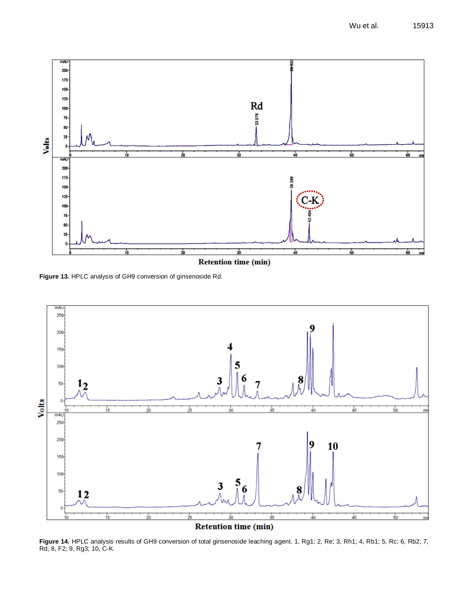

**Figure 13.** HPLC analysis of GH9 conversion of ginsenoside Rd.



**Figure 14.** HPLC analysis results of GH9 conversion of total ginsenoside leaching agent. 1, Rg1; 2, Re; 3, Rh1; 4, Rb1; 5, Rc; 6, Rb2; 7, Rd; 8, F2; 9, Rg3; 10, C-K.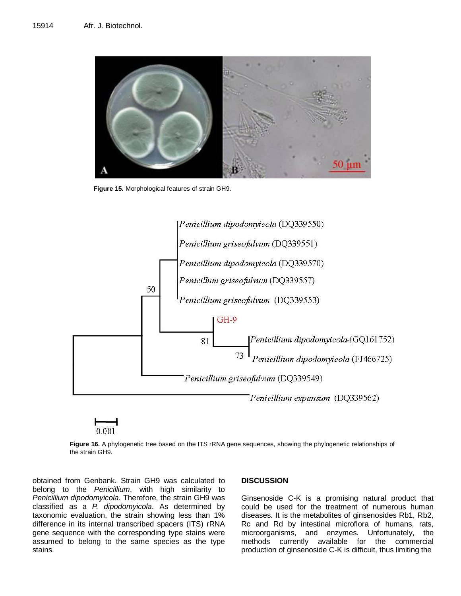

**Figure 15.** Morphological features of strain GH9.



**Figure 16.** A phylogenetic tree based on the ITS rRNA gene sequences, showing the phylogenetic relationships of the strain GH9.

obtained from Genbank. Strain GH9 was calculated to belong to the *Penicillium*, with high similarity to *Penicillium dipodomyicola.* Therefore, the strain GH9 was classified as a *P. dipodomyicola*. As determined by taxonomic evaluation, the strain showing less than 1% difference in its internal transcribed spacers (ITS) rRNA gene sequence with the corresponding type stains were assumed to belong to the same species as the type stains.

## **DISCUSSION**

Ginsenoside C-K is a promising natural product that could be used for the treatment of numerous human diseases. It is the metabolites of ginsenosides Rb1, Rb2, Rc and Rd by intestinal microflora of humans, rats, microorganisms, and enzymes. Unfortunately, the methods currently available for the commercial production of ginsenoside C-K is difficult, thus limiting the